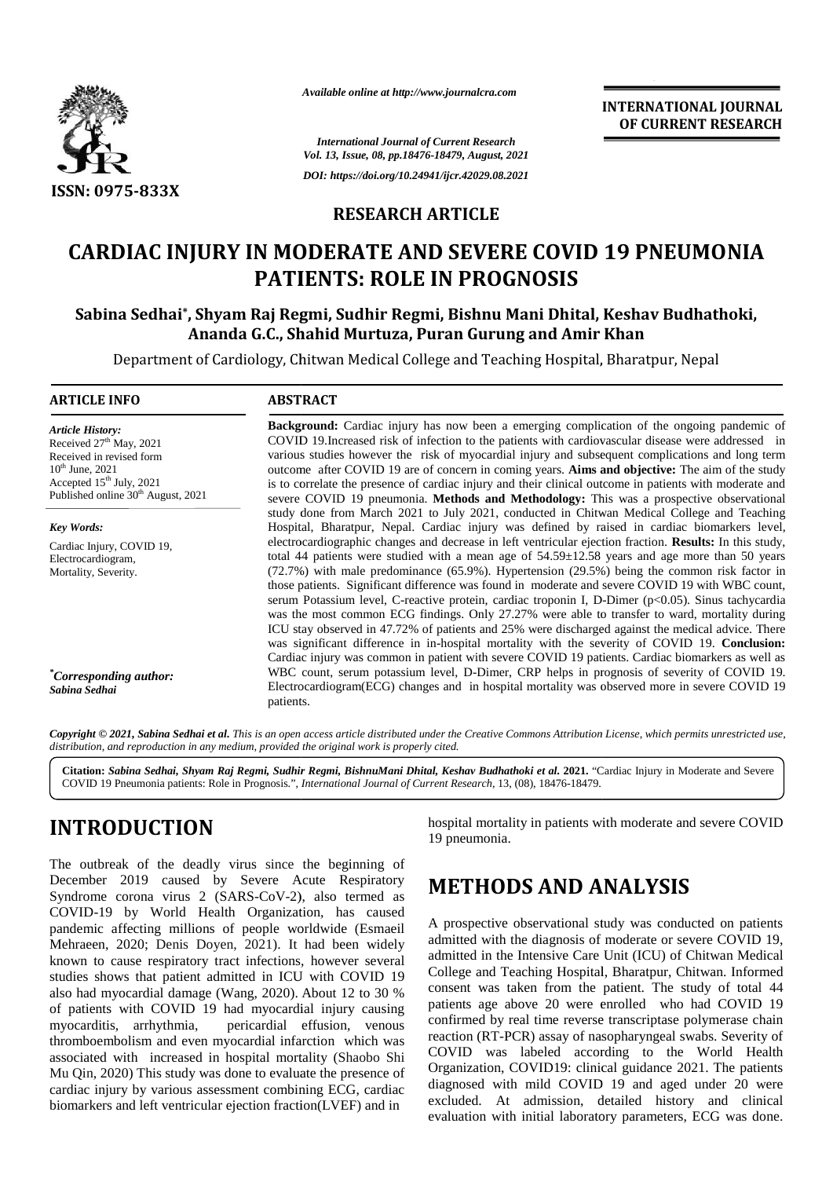

*Available online at http://www.journalcra.com*

*International Journal of Current Research Vol. 13, Issue, 08, pp.18476-18479, August, 2021 DOI: https://doi.org/10.24941/ijcr.42029.08.2021*

#### **RESEARCH ARTICLE**

# CARDIAC INJURY IN MODERATE AND SEVERE COVID 19 PNEUMONIA<br>PATIENTS: ROLE IN PROGNOSIS **PATIENTS: ROLE IN PROGNOSIS**

**Sabina Sedhai\* , Shyam Raj Regmi, Sudhir Regmi, Bishnu Mani Dhital, Keshav Budhathoki, Sabina Sedhai Ananda G.C., Shahid Murtuza, Puran Gurung and Amir Khan Ananda G.C.,** 

Department of Cardiology, Chitwan Medical College and Teaching Hospital, Bharatpur, Nepal

#### **ARTICLE INFO ABSTRACT ARTICLE ABSTRACT**

*Article History:* Received  $27<sup>th</sup>$  May, 2021 Received  $27$  May,  $2021$ <br>Received in revised form  $10^{th}$  June, 2021 Accepted  $15<sup>th</sup>$  July, 2021 Published online 30<sup>th</sup> August, 2021

*Key Words:* Cardiac Injury, COVID 19, Electrocardiogram, Mortality, Severity.

*\*Corresponding author: Sabina Sedhai*

**Background:** Cardiac injury has now been a emerging complication of the ongoing pandemic of COVID 19.Increased risk of infection to the patients with cardiovascular disease were addressed in various studies however the risk of myocardial injury and subsequent complications and long term outcome after COVID 19 are of concern in coming years. **Aims and objective:** The aim of the study is to correlate the presence of cardiac injury and their clinical outcome in patients with moderate and severe COVID 19 pneumonia. **Methods and Methodology:** This was a prospective observational COVID 19. Increased risk of infection to the patients with cardiovascular disease were addressed in<br>various studies however the risk of myocardial injury and subsequent complications and long term<br>outcome after COVID 19 ar Hospital, Bharatpur, Nepal. Cardiac injury was defined by raised in cardiac biomarkers level, electrocardiographic changes and decrease in left ventricular ejection fraction. **Results:** In this study, total 44 patients were studied with a mean age of 54.59±12.58 years and age more than 50 years (72.7%) with male predominance (65.9%). Hypertension (29.5%) being the common risk factor in those patients. Significant difference was found in moderate and severe COVID 19 with WBC count, serum Potassium level, C-reactive protein, cardiac troponin I, D-Dimer (p<0.05). Sinus tachycardia Hospital, Bharatpur, Nepal. Cardiac injury was defined by raised in cardiac biomarkers level,<br>electrocardiographic changes and decrease in left ventricular ejection fraction. **Results:** In this study,<br>total 44 patients we ICU stay observed in 47.72% of patients and 25% were discharged against the medical advice. There ICU stay observed in 47.72% of patients and 25% were discharged against the medical advice. There was significant difference in in-hospital mortality with the severity of COVID 19. **Conclusion:** Cardiac injury was common in patient with severe COVID 19 patients. Cardiac biomarkers as well as WBC count, serum potassium level, D-Dimer, CRP helps in prognosis of severity of COVID 19. Electrocardiogram(ECG) changes and in hospital mortality was observed more in severe COVID 19 patients. Cardiac injury was common in patient with severe COVID 19 patients. Cardiac biomarkers as well as WBC count, serum potassium level, D-Dimer, CRP helps in prognosis of severity of COVID 19. Electrocardiogram(ECG) changes an **ESSA:** 0975-833X<br>
ESSA: 0975-833X<br>
RESEARCH ARTICLE<br>
CARDIAC INJURY IN MODERATE AND SEVERE COVID 19 PNEUMONIA<br>
ESSA: 0975-833X<br>
RESEARCH ARTICLE TO AND SEVERE COVID 19 PNEUMONIA<br>
Sabina Sedinal Savana Gran Metrics Reduce Associate contine of *Raj Citation*:<br> *CARDIAC INJURY IN MODERATE AND SEVERE COVID 19 PNEUMON<br>
2012. Raj (2013)*<br> **CARDIAC INJURY IN MODERATE AND SEVERE COVID 19 PNEUMON**<br> **CARDIAC INJURY IN MODERATE AND SEVERE COVID 19 PN INTERNATION**<br>
INTERNATIONAL INTERNATIONAL INTERNATIONAL INTERNATIONAL INTERNATIONAL INTERNATIONAL INTERNATION (Val. 13, ISSN 68, pp.18476-18478, Asspect, 2021<br>
2021 POINTENTTS: ROLE IN PROGROSIS (Fig. 2022) INTERNATIONAL

Copyright © 2021, Sabina Sedhai et al. This is an open access article distributed under the Creative Commons Attribution License, which permits unrestricted use, *distribution, and reproduction in any medium, provided the original work is properly cited. distribution,any*

**Citation:** *Sabina Sedhai, Shyam Raj Regmi, Sudhir Regmi, BishnuMani Dhital, Keshav Budhathoki et al.* **2021.** "Cardiac Injury in Moderate and Severe COVID 19 Pneumonia patients: Role in Prognosis.", *International Journal of Current Research*, 13, (08), 18476-18479.

# **INTRODUCTION INTRODUCTION**

The outbreak of the deadly virus since the beginning of December 2019 caused by Severe Acute Respiratory MI Syndrome corona virus 2 (SARS-CoV-2), also termed as COVID-19 by World Health Organization, has caused pandemic affecting millions of people worldwide (Esmaeil Mehraeen, 2020; Denis Doyen, 2021). It had been widely known to cause respiratory tract infections, however several studies shows that patient admitted in ICU with COVID 19 also had myocardial damage (Wang, 2020). About 12 to 30 % of patients with COVID 19 had myocardial injury causing myocarditis, arrhythmia, pericardial effusion, venous thromboembolism and even myocardial infarction which was associated with increased in hospital mortality (Shaobo Shi Mu Qin, 2020) This study was done to evaluate the presence of cardiac injury by various assessment combining ECG, cardiac biomarkers and left ventricular ejection fraction(LVEF) and in The outbreak of the deadly virus since the beginning of<br>December 2019 caused by Severe Acute Respiratory<br>Syndrome corona virus 2 (SARS-CoV-2), also termed as<br>COVID-19 by World Health Organization, has caused<br>pandemic affec

hospital mortality in patients with moderate and severe COVID 19 pneumonia.

# **METHODS AND ANALYSIS**

A prospective observational study was conducted on patients admitted with the diagnosis of moderate or severe COVID 19, admitted in the Intensive Care Unit (ICU) of Chitwan Medical College and Teaching Hospital, Bharatpur, Chitwan. Informed consent was taken from the patient. The study of total 44 patients age above 20 were enrolled who had COVID 19 confirmed by real time reverse transcriptase polymerase chain reaction (RT-PCR) assay of nasopharyngeal swabs. Severity of COVID was labeled according to the World Health Organization, COVID19: clinical guidance 2021. The patients diagnosed with mild COVID 19 and aged under 20 were excluded. At admission, detailed history and clinical evaluation with initial laboratory parameters, ECG was done.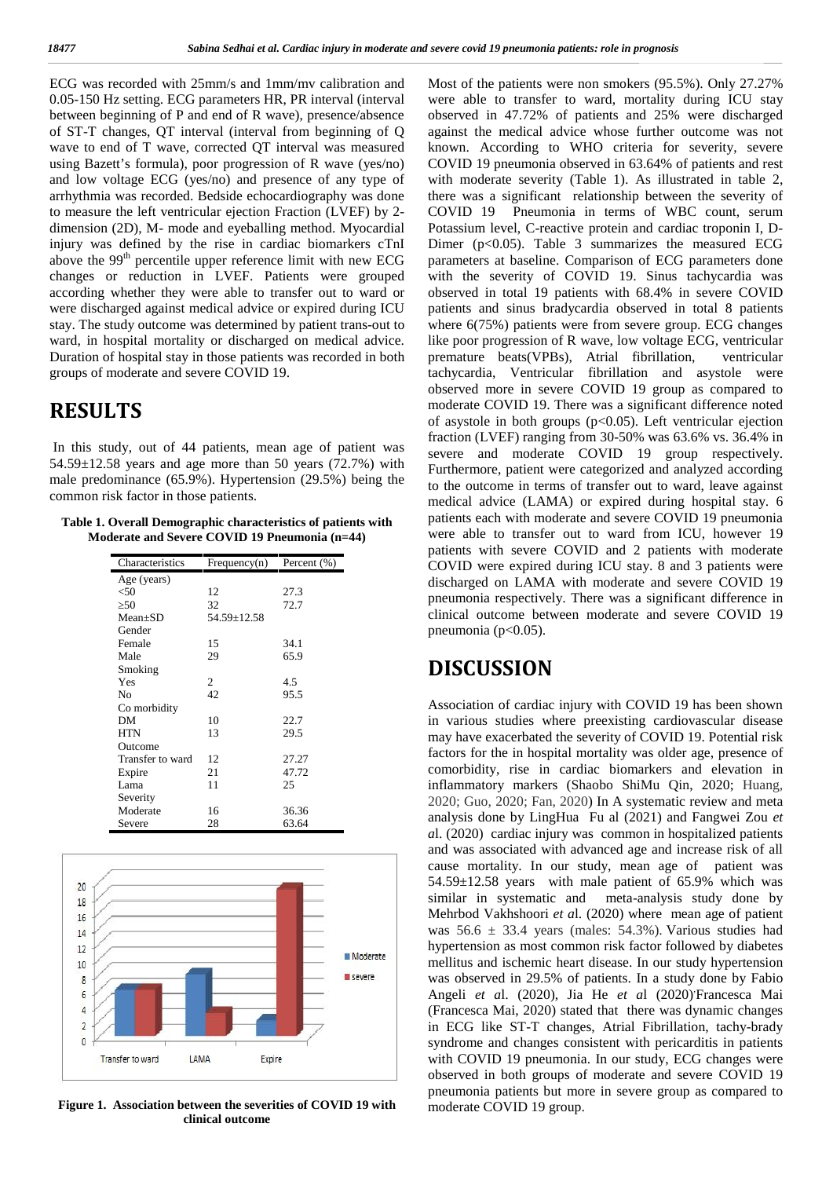ECG was recorded with 25mm/s and 1mm/mv calibration and Most 0.05-150 Hz setting. ECG parameters HR, PR interval (interval between beginning of P and end of R wave), presence/absence of ST-T changes, QT interval (interval from beginning of Q wave to end of T wave, corrected QT interval was measured using Bazett's formula), poor progression of R wave (yes/no) and low voltage ECG (yes/no) and presence of any type of arrhythmia was recorded. Bedside echocardiography was done to measure the left ventricular ejection Fraction (LVEF) by 2 dimension (2D), M- mode and eyeballing method. Myocardial injury was defined by the rise in cardiac biomarkers cTnI above the 99<sup>th</sup> percentile upper reference limit with new ECG changes or reduction in LVEF. Patients were grouped according whether they were able to transfer out to ward or were discharged against medical advice or expired during ICU stay. The study outcome was determined by patient trans-out to ward, in hospital mortality or discharged on medical advice. Duration of hospital stay in those patients was recorded in both groups of moderate and severe COVID 19.

## **RESULTS**

In this study, out of 44 patients, mean age of patient was  $54.59 \pm 12.58$  years and age more than 50 years (72.7%) with male predominance (65.9%). Hypertension (29.5%) being the common risk factor in those patients.

| Table 1. Overall Demographic characteristics of patients with | pa |
|---------------------------------------------------------------|----|
| Moderate and Severe COVID 19 Pneumonia (n=44)                 | we |

| Characteristics  | Frequency(n) | Percent (%) |
|------------------|--------------|-------------|
| Age (years)      |              |             |
| < 50             | 12           | 27.3        |
| 50               | 32           | 72.7        |
| $Mean+SD$        | 54.59±12.58  |             |
| Gender           |              |             |
| Female           | 15           | 34.1        |
| Male             | 29           | 65.9        |
| Smoking          |              |             |
| Yes              | 2            | 4.5         |
| No               | 42           | 95.5        |
| Co morbidity     |              |             |
| DМ               | 10           | 22.7        |
| <b>HTN</b>       | 13           | 29.5        |
| Outcome          |              |             |
| Transfer to ward | 12           | 27.27       |
| Expire           | 21           | 47.72       |
| Lama             | 11           | 25          |
| Severity         |              |             |
| Moderate         | 16           | 36.36       |
| Severe           | 28           | 63.64       |



**Figure 1. Association between the severities of COVID 19 with clinical outcome**

Most of the patients were non smokers (95.5%). Only 27.27% were able to transfer to ward, mortality during ICU stay observed in 47.72% of patients and 25% were discharged against the medical advice whose further outcome was not known. According to WHO criteria for severity, severe COVID 19 pneumonia observed in 63.64% of patients and rest with moderate severity (Table 1). As illustrated in table 2, there was a significant relationship between the severity of COVID 19 Pneumonia in terms of WBC count, serum Potassium level, C-reactive protein and cardiac troponin I, D- Dimer ( $p < 0.05$ ). Table 3 summarizes the measured ECG parameters at baseline. Comparison of ECG parameters done with the severity of COVID 19. Sinus tachycardia was observed in total 19 patients with 68.4% in severe COVID patients and sinus bradycardia observed in total 8 patients where  $6(75%)$  patients were from severe group. ECG changes like poor progression of R wave, low voltage ECG, ventricular premature beats(VPBs), Atrial fibrillation, ventricular tachycardia, Ventricular fibrillation and asystole were observed more in severe COVID 19 group as compared to moderate COVID 19. There was a significant difference noted of asystole in both groups  $(p<0.05)$ . Left ventricular ejection fraction (LVEF) ranging from 30-50% was 63.6% vs. 36.4% in severe and moderate COVID 19 group respectively. Furthermore, patient were categorized and analyzed according to the outcome in terms of transfer out to ward, leave against medical advice (LAMA) or expired during hospital stay. 6 patients each with moderate and severe COVID 19 pneumonia were able to transfer out to ward from ICU, however 19 patients with severe COVID and 2 patients with moderate COVID were expired during ICU stay. 8 and 3 patients were discharged on LAMA with moderate and severe COVID 19 pneumonia respectively. There was a significant difference in clinical outcome between moderate and severe COVID 19 pneumonia ( $p<0.05$ ).

## **DISCUSSION**

Association of cardiac injury with COVID 19 has been shown in various studies where preexisting cardiovascular disease may have exacerbated the severity of COVID 19. Potential risk factors for the in hospital mortality was older age, presence of comorbidity, rise in cardiac biomarkers and elevation in inflammatory markers (Shaobo ShiMu Qin, 2020; Huang, 2020; Guo, 2020; Fan, 2020) In A systematic review and meta analysis done by LingHua Fu al (2021) and Fangwei Zou *et a*l. (2020) cardiac injury was common in hospitalized patients and was associated with advanced age and increase risk of all cause mortality. In our study, mean age of patient was 54.59±12.58 years with male patient of 65.9% which was similar in systematic and meta-analysis study done by Mehrbod Vakhshoori *et a*l. (2020) where mean age of patient was  $56.6 \pm 33.4$  years (males:  $54.3\%$ ). Various studies had hypertension as most common risk factor followed by diabetes mellitus and ischemic heart disease. In our study hypertension was observed in 29.5% of patients. In a study done by Fabio Angeli et al. (2020), Jia He et al (2020) Francesca Mai (Francesca Mai, 2020) stated that there was dynamic changes in ECG like ST-T changes, Atrial Fibrillation, tachy-brady syndrome and changes consistent with pericarditis in patients with COVID 19 pneumonia. In our study, ECG changes were observed in both groups of moderate and severe COVID 19 pneumonia patients but more in severe group as compared to moderate COVID 19 group.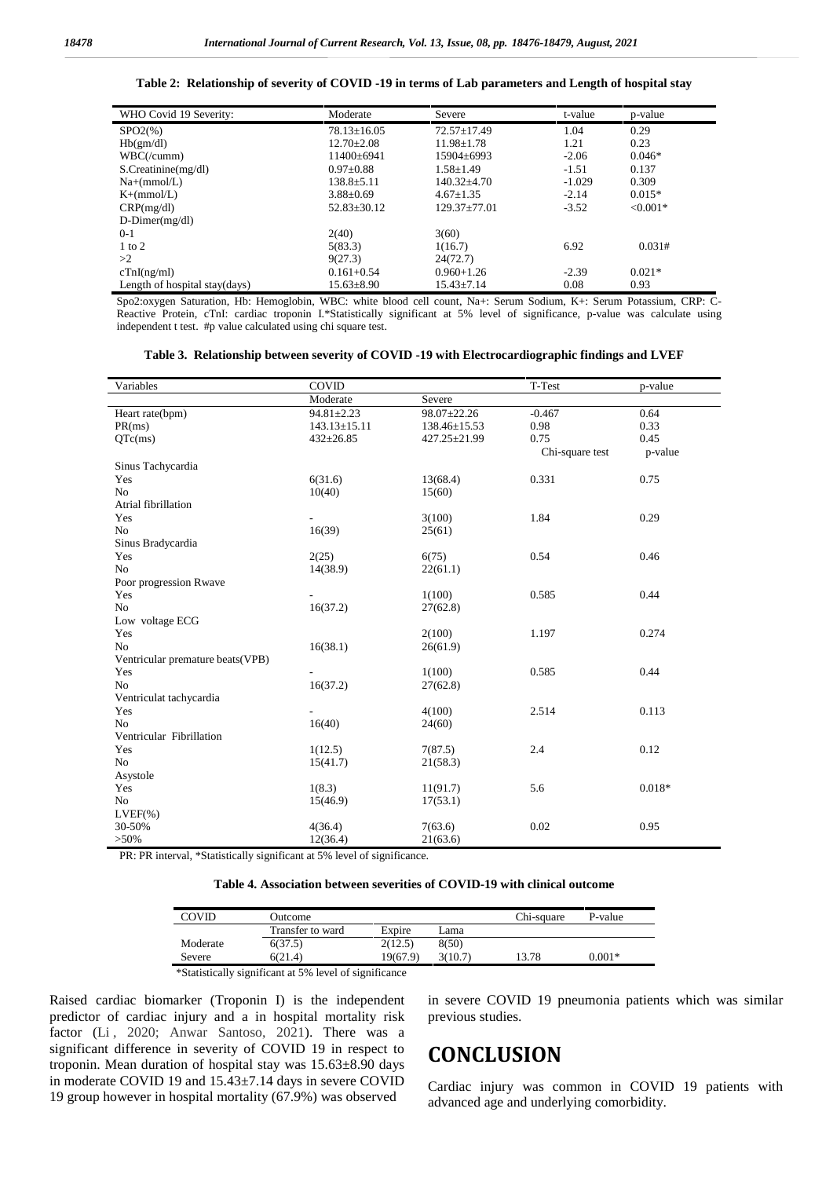#### **Table 2: Relationship of severity of COVID -19 in terms of Lab parameters and Length of hospital stay**

| WHO Covid 19 Severity:        | Moderate          | Severe            | t-value  | p-value    |
|-------------------------------|-------------------|-------------------|----------|------------|
| $SPO2(\% )$                   | $78.13 \pm 16.05$ | $72.57 \pm 17.49$ | 1.04     | 0.29       |
| Hb(gm/dl)                     | $12.70 + 2.08$    | $11.98 + 1.78$    | 1.21     | 0.23       |
| WBC/(cumm)                    | $11400 \pm 6941$  | 15904±6993        | $-2.06$  | $0.046*$   |
| S.Creatinine(mg/dl)           | $0.97 + 0.88$     | $1.58 + 1.49$     | $-1.51$  | 0.137      |
| $Na+(mmol/L)$                 | $138.8 \pm 5.11$  | $140.32{\pm}4.70$ | $-1.029$ | 0.309      |
| $K+(mmol/L)$                  | $3.88 \pm 0.69$   | $4.67+1.35$       | $-2.14$  | $0.015*$   |
| CRP(mg/dl)                    | $52.83 \pm 30.12$ | $129.37 + 77.01$  | $-3.52$  | $< 0.001*$ |
| $D\text{-Dimer}(mg/dl)$       |                   |                   |          |            |
| $0-1$                         | 2(40)             | 3(60)             |          |            |
| $1$ to $2$                    | 5(83.3)           | 1(16.7)           | 6.92     | 0.031#     |
| >2                            | 9(27.3)           | 24(72.7)          |          |            |
| cTnI(ng/ml)                   | $0.161 + 0.54$    | $0.960 + 1.26$    | $-2.39$  | $0.021*$   |
| Length of hospital stay(days) | $15.63 \pm 8.90$  | $15.43 \pm 7.14$  | 0.08     | 0.93       |

Spo2:oxygen Saturation, Hb: Hemoglobin, WBC: white blood cell count, Na+: Serum Sodium, K+: Serum Potassium, CRP: C- Reactive Protein, cTnI: cardiac troponin I.\*Statistically significant at 5% level of significance, p-value was calculate using independent t test. #p value calculated using chi square test.

|  | Table 3. Relationship between severity of COVID -19 with Electrocardiographic findings and LVEF |  |  |  |  |
|--|-------------------------------------------------------------------------------------------------|--|--|--|--|
|  |                                                                                                 |  |  |  |  |

| Variables                        | COVID              |              |                 | p-value  |  |
|----------------------------------|--------------------|--------------|-----------------|----------|--|
|                                  | Moderate           | Severe       |                 |          |  |
| Heart rate(bpm)                  | $94.81 \pm 2.23$   | 98.07±22.26  | $-0.467$        | 0.64     |  |
| PR(ms)                           | $143.13 \pm 15.11$ | 138.46±15.53 | 0.98            | 0.33     |  |
| QTc(ms)                          | $432 \pm 26.85$    | 427.25±21.99 | 0.75            | 0.45     |  |
|                                  |                    |              | Chi-square test | p-value  |  |
| Sinus Tachycardia                |                    |              |                 |          |  |
| Yes                              | 6(31.6)            | 13(68.4)     | 0.331           | 0.75     |  |
| N <sub>o</sub>                   | 10(40)             | 15(60)       |                 |          |  |
| Atrial fibrillation              |                    |              |                 |          |  |
| Yes                              |                    | 3(100)       | 1.84            | 0.29     |  |
| N <sub>o</sub>                   | 16(39)             | 25(61)       |                 |          |  |
| Sinus Bradycardia                |                    |              |                 |          |  |
| Yes                              | 2(25)              | 6(75)        | 0.54            | 0.46     |  |
| No                               | 14(38.9)           | 22(61.1)     |                 |          |  |
| Poor progression Rwave           |                    |              |                 |          |  |
| Yes                              |                    | 1(100)       | 0.585           | 0.44     |  |
| No                               | 16(37.2)           | 27(62.8)     |                 |          |  |
| Low voltage ECG                  |                    |              |                 |          |  |
| Yes                              |                    | 2(100)       | 1.197           | 0.274    |  |
| No                               | 16(38.1)           | 26(61.9)     |                 |          |  |
| Ventricular premature beats(VPB) |                    |              |                 |          |  |
| Yes                              |                    | 1(100)       | 0.585           | 0.44     |  |
| N <sub>o</sub>                   | 16(37.2)           | 27(62.8)     |                 |          |  |
| Ventriculat tachycardia          |                    |              |                 |          |  |
| Yes                              |                    | 4(100)       | 2.514           | 0.113    |  |
| N <sub>o</sub>                   | 16(40)             | 24(60)       |                 |          |  |
| Ventricular Fibrillation         |                    |              |                 |          |  |
| Yes                              | 1(12.5)            | 7(87.5)      | 2.4             | 0.12     |  |
| No                               | 15(41.7)           | 21(58.3)     |                 |          |  |
| Asystole                         |                    |              |                 |          |  |
| Yes                              | 1(8.3)             | 11(91.7)     | 5.6             | $0.018*$ |  |
| No                               | 15(46.9)           | 17(53.1)     |                 |          |  |
| $LVEF(\% )$                      |                    |              |                 |          |  |
| 30-50%                           | 4(36.4)            | 7(63.6)      | 0.02            | 0.95     |  |
| $>50\%$                          | 12(36.4)           | 21(63.6)     |                 |          |  |

PR: PR interval, \*Statistically significant at 5% level of significance.

#### **Table 4. Association between severities of COVID-19 with clinical outcome**

| COVID                                                  | Outcome          |          |         | Chi-square | P-value  |  |
|--------------------------------------------------------|------------------|----------|---------|------------|----------|--|
|                                                        | Transfer to ward | Expire   | Lama    |            |          |  |
| Moderate                                               | 6(37.5)          | 2(12.5)  | 8(50)   |            |          |  |
| Severe                                                 | 6(21.4)          | 19(67.9) | 3(10.7) | 13.78      | $0.001*$ |  |
| *Statistically significant at 5% level of significance |                  |          |         |            |          |  |

Raised cardiac biomarker (Troponin I) is the independent predictor of cardiac injury and a in hospital mortality risk factor (Li, 2020; Anwar Santoso, 2021). There was a significant difference in severity of COVID 19 in respect to troponin. Mean duration of hospital stay was 15.63±8.90 days in moderate COVID 19 and 15.43±7.14 days in severe COVID 19 group however in hospital mortality (67.9%) was observed

in severe COVID 19 pneumonia patients which was similar previous studies.

### **CONCLUSION**

Cardiac injury was common in COVID 19 patients with advanced age and underlying comorbidity.